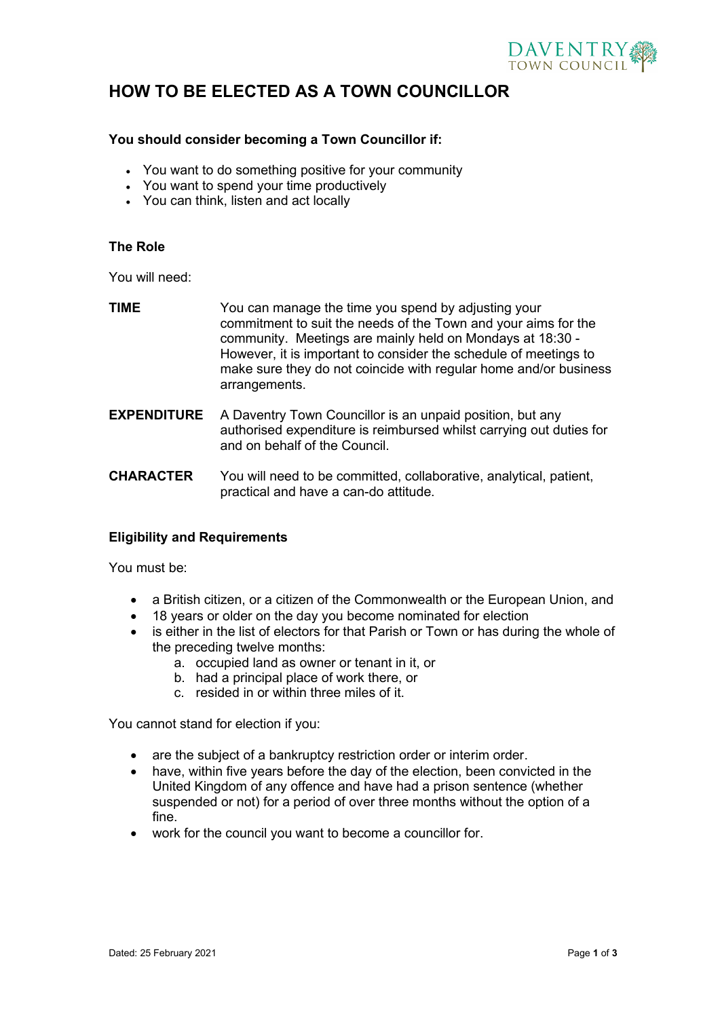

### **HOW TO BE ELECTED AS A TOWN COUNCILLOR**

#### **You should consider becoming a Town Councillor if:**

- You want to do something positive for your community
- You want to spend your time productively
- You can think, listen and act locally

### **The Role**

You will need:

| <b>TIME</b>        | You can manage the time you spend by adjusting your<br>commitment to suit the needs of the Town and your aims for the<br>community. Meetings are mainly held on Mondays at 18:30 -<br>However, it is important to consider the schedule of meetings to<br>make sure they do not coincide with regular home and/or business<br>arrangements. |
|--------------------|---------------------------------------------------------------------------------------------------------------------------------------------------------------------------------------------------------------------------------------------------------------------------------------------------------------------------------------------|
| <b>EXPENDITURE</b> | A Daventry Town Councillor is an unpaid position, but any<br>authorised expenditure is reimbursed whilst carrying out duties for<br>and on behalf of the Council.                                                                                                                                                                           |
|                    |                                                                                                                                                                                                                                                                                                                                             |

**CHARACTER** You will need to be committed, collaborative, analytical, patient, practical and have a can-do attitude.

#### **Eligibility and Requirements**

You must be:

- a British citizen, or a citizen of the Commonwealth or the European Union, and
- 18 years or older on the day you become nominated for election
- is either in the list of electors for that Parish or Town or has during the whole of the preceding twelve months:
	- a. occupied land as owner or tenant in it, or
	- b. had a principal place of work there, or
	- c. resided in or within three miles of it.

You cannot stand for election if you:

- are the subject of a bankruptcy restriction order or interim order.
- have, within five years before the day of the election, been convicted in the United Kingdom of any offence and have had a prison sentence (whether suspended or not) for a period of over three months without the option of a fine.
- work for the council you want to become a councillor for.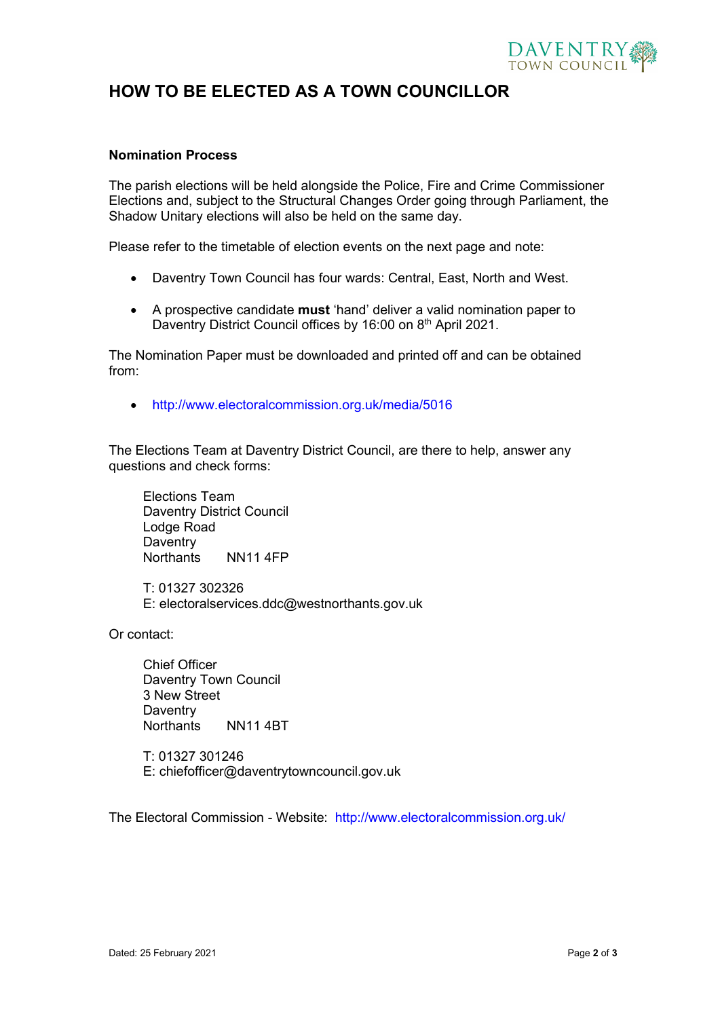

### **HOW TO BE ELECTED AS A TOWN COUNCILLOR**

#### **Nomination Process**

The parish elections will be held alongside the Police, Fire and Crime Commissioner Elections and, subject to the Structural Changes Order going through Parliament, the Shadow Unitary elections will also be held on the same day.

Please refer to the timetable of election events on the next page and note:

- Daventry Town Council has four wards: Central, East, North and West.
- A prospective candidate **must** 'hand' deliver a valid nomination paper to Daventry District Council offices by 16:00 on 8<sup>th</sup> April 2021.

The Nomination Paper must be downloaded and printed off and can be obtained from:

• <http://www.electoralcommission.org.uk/media/5016>

The Elections Team at Daventry District Council, are there to help, answer any questions and check forms:

Elections Team Daventry District Council Lodge Road **Daventry** Northants NN11 4FP

T: 01327 302326 E: [electoralservices.ddc@westnorthants.gov.uk](mailto:electoralservices.ddc@westnorthants.gov.uk)

Or contact:

Chief Officer Daventry Town Council 3 New Street **Daventry** Northants NN11 4BT

T: 01327 301246 E: chiefofficer@daventrytowncouncil.gov.uk

The Electoral Commission - Website: <http://www.electoralcommission.org.uk/>